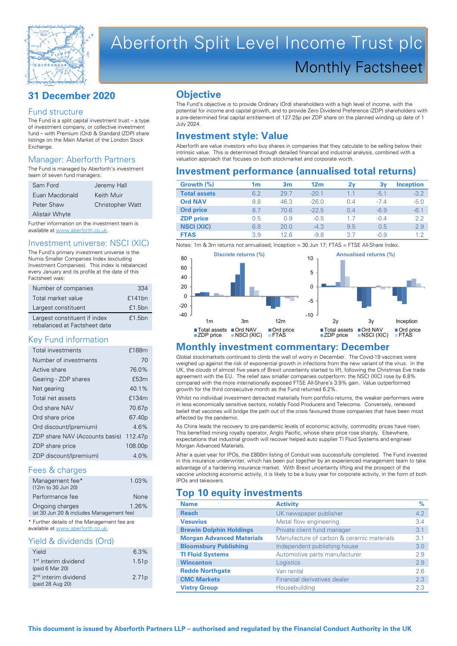

# Aberforth Split Level Income Trust plc Monthly Factsheet

# **31 December 2020**

#### Fund structure

The Fund is a split capital investment trust – a type of investment company, or collective investment fund – with Premium (Ord) & Standard (ZDP) share listings on the Main Market of the London Stock **Exchange** 

#### Manager: Aberforth Partners

The Fund is managed by Aberforth's investment team of seven fund managers:

| Sam Ford       | Jeremy Hall             |
|----------------|-------------------------|
| Euan Macdonald | Keith Muir              |
| Peter Shaw     | <b>Christopher Watt</b> |
| Alistair Whyte |                         |

Further information on the investment team is available at www.aberforth.co.uk.

#### Investment universe: NSCI (XIC)

The Fund's primary investment universe is the Numis Smaller Companies Index (excluding Investment Companies). This index is rebalanced every January and its profile at the date of this Factsheet was:

| Number of companies                                          | 334    |
|--------------------------------------------------------------|--------|
| Total market value                                           | £141bn |
| Largest constituent                                          | £1.5bn |
| Largest constituent if index<br>rebalanced at Factsheet date | £1.5bn |

#### Key Fund information

| <b>Total investments</b>       | £188m               |
|--------------------------------|---------------------|
| Number of investments          | 70                  |
| Active share                   | 76.0%               |
| Gearing - ZDP shares           | £53m                |
| Net gearing                    | 401%                |
| Total net assets               | £134m               |
| Ord share NAV                  | 70.67 <sub>p</sub>  |
| Ord share price                | 67.40 <sub>p</sub>  |
| Ord discount/(premium)         | 46%                 |
| ZDP share NAV (Accounts basis) | 112.47 <sub>p</sub> |
| ZDP share price                | 108.00p             |
| ZDP discount/(premium)         | 4 0 <sub>%</sub>    |

#### Fees & charges

| Management fee*<br>(12m to 30 Jun 20)                       | $1.03\%$ |
|-------------------------------------------------------------|----------|
| Performance fee                                             | None     |
| Ongoing charges<br>(at 30 Jun 20 & includes Management fee) | $1.26\%$ |

\* Further details of the Management fee are available at www.aberforth.co.uk

# Yield & dividends (Ord)

| <b>TIGIU O UNIUGHUS (UTU)</b>                        |                   |
|------------------------------------------------------|-------------------|
| Yield                                                | 6.3%              |
| 1 <sup>st</sup> interim dividend<br>(paid 6 Mar 20)  | 1.51 <sub>p</sub> |
| 2 <sup>nd</sup> interim dividend<br>(paid 28 Aug 20) | 2.71 <sub>p</sub> |

# **Objective**

The Fund's objective is to provide Ordinary (Ord) shareholders with a high level of income, with the potential for income and capital growth, and to provide Zero Dividend Preference (ZDP) shareholders with a pre-determined final capital entitlement of 127.25p per ZDP share on the planned winding up date of 1 July 2024.

# **Investment style: Value**

Aberforth are value investors who buy shares in companies that they calculate to be selling below their intrinsic value. This is determined through detailed financial and industrial analysis, combined with a valuation approach that focuses on both stockmarket and corporate worth.

# **Investment performance (annualised total returns)**

| Growth $(\%)$       | 1m  | 3 <sub>m</sub> | 12 <sub>m</sub> | 2v  | 3v     | <b>Inception</b> |
|---------------------|-----|----------------|-----------------|-----|--------|------------------|
| <b>Total assets</b> | 6.2 | 29.7           | $-20.1$         | 1.1 | $-5.1$ | $-3.2$           |
| <b>Ord NAV</b>      | 8.8 | 46.3           | $-26.0$         | 0.4 | $-74$  | $-5.0$           |
| <b>Ord price</b>    | 8.7 | 70.6           | $-22.5$         | 0.4 | $-6.9$ | $-6.1$           |
| <b>ZDP</b> price    | 0.5 | 0.9            | $-0.5$          | 1.7 | $-0.4$ | 2.2              |
| <b>NSCI (XIC)</b>   | 6.8 | 20.0           | $-4.3$          | 9.5 | 0.5    | 2.9              |
| <b>FTAS</b>         | 3.9 | 12 6           | $-9.8$          | 3.7 | $-0.9$ | 1.2              |

Notes: 1m & 3m returns not annualised; Inception = 30 Jun 17; FTAS = FTSE All-Share Index.



### **Monthly investment commentary: December**

Global stockmarkets continued to climb the wall of worry in December. The Covid-19 vaccines were weighed up against the risk of exponential growth in infections from the new variant of the virus. In the UK, the clouds of almost five years of Brexit uncertainty started to lift, following the Christmas Eve trade agreement with the EU. The relief saw smaller companies outperform: the NSCI (XIC) rose by 6.8% compared with the more internationally exposed FTSE All-Share's 3.9% gain. Value outperformed growth for the third consecutive month as the Fund returned 6.2%.

Whilst no individual investment detracted materially from portfolio returns, the weaker performers were in less economically sensitive sectors, notably Food Producers and Telecoms. Conversely, renewed belief that vaccines will bridge the path out of the crisis favoured those companies that have been most affected by the pandemic.

As China leads the recovery to pre-pandemic levels of economic activity, commodity prices have risen. This benefited mining royalty operator, Anglo Pacific, whose share price rose sharply. Elsewhere, expectations that industrial growth will recover helped auto supplier TI Fluid Systems and engineer Morgan Advanced Materials.

After a quiet year for IPOs, the £800m listing of Conduit was successfully completed. The Fund invested in this insurance underwriter, which has been put together by an experienced management team to take advantage of a hardening insurance market. With Brexit uncertainty lifting and the prospect of the vaccine unlocking economic activity, it is likely to be a busy year for corporate activity, in the form of both IPOs and takeovers.

# **Top 10 equity investments**

| <b>Name</b>                      | <b>Activity</b>                           | $\%$ |
|----------------------------------|-------------------------------------------|------|
| <b>Reach</b>                     | UK newspaper publisher                    | 4.2  |
| <b>Vesuvius</b>                  | Metal flow engineering                    | 3.4  |
| <b>Brewin Dolphin Holdings</b>   | Private client fund manager               | 3.1  |
| <b>Morgan Advanced Materials</b> | Manufacture of carbon & ceramic materials | 3.1  |
| <b>Bloomsbury Publishing</b>     | Independent publishing house              | 3.0  |
| <b>TI Fluid Systems</b>          | Automotive parts manufacturer             | 2.9  |
| <b>Wincanton</b>                 | Logistics                                 | 2.9  |
| <b>Redde Northgate</b>           | Van rental                                | 2.6  |
| <b>CMC Markets</b>               | Financial derivatives dealer              | 2.3  |
| <b>Vistry Group</b>              | Housebuilding                             | 2.3  |